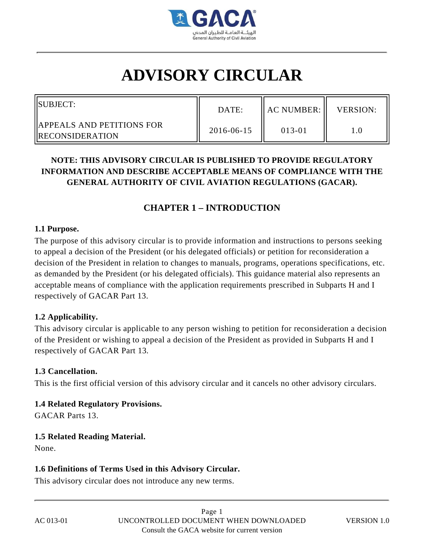

# **ADVISORY CIRCULAR**

| SUBJECT:                                                      | DATE:      | $\parallel$ AC NUMBER: $\parallel$ | <b>VERSION:</b> |
|---------------------------------------------------------------|------------|------------------------------------|-----------------|
| <b>IIAPPEALS AND PETITIONS FOR</b><br><b>IRECONSIDERATION</b> | 2016-06-15 | 013-01                             |                 |

# **NOTE: THIS ADVISORY CIRCULAR IS PUBLISHED TO PROVIDE REGULATORY INFORMATION AND DESCRIBE ACCEPTABLE MEANS OF COMPLIANCE WITH THE GENERAL AUTHORITY OF CIVIL AVIATION REGULATIONS (GACAR).**

# **CHAPTER 1 – INTRODUCTION**

#### **1.1 Purpose.**

The purpose of this advisory circular is to provide information and instructions to persons seeking to appeal a decision of the President (or his delegated officials) or petition for reconsideration a decision of the President in relation to changes to manuals, programs, operations specifications, etc. as demanded by the President (or his delegated officials). This guidance material also represents an acceptable means of compliance with the application requirements prescribed in Subparts H and I respectively of GACAR Part 13.

# **1.2 Applicability.**

This advisory circular is applicable to any person wishing to petition for reconsideration a decision of the President or wishing to appeal a decision of the President as provided in Subparts H and I respectively of GACAR Part 13.

# **1.3 Cancellation.**

This is the first official version of this advisory circular and it cancels no other advisory circulars.

# **1.4 Related Regulatory Provisions.**

GACAR Parts 13.

# **1.5 Related Reading Material.**

None.

# **1.6 Definitions of Terms Used in this Advisory Circular.**

This advisory circular does not introduce any new terms.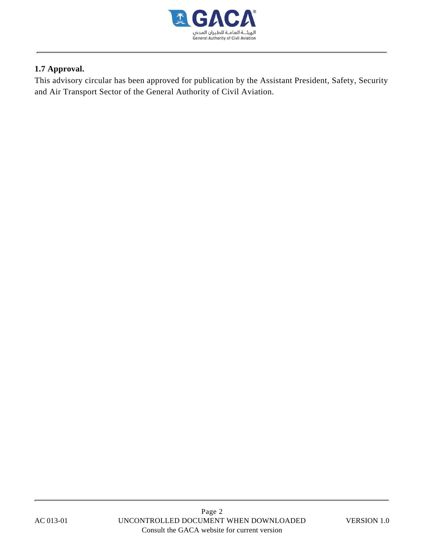

# **1.7 Approval.**

This advisory circular has been approved for publication by the Assistant President, Safety, Security and Air Transport Sector of the General Authority of Civil Aviation.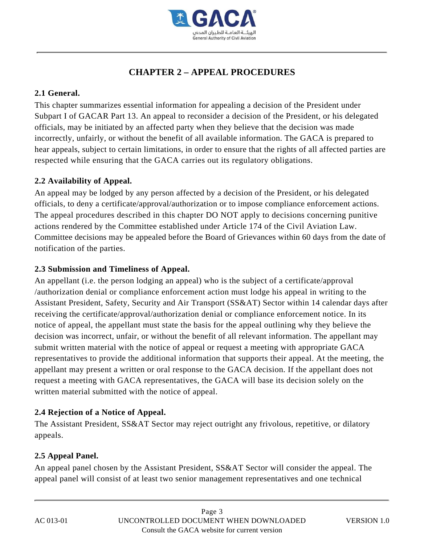

# **CHAPTER 2 – APPEAL PROCEDURES**

# **2.1 General.**

This chapter summarizes essential information for appealing a decision of the President under Subpart I of GACAR Part 13. An appeal to reconsider a decision of the President, or his delegated officials, may be initiated by an affected party when they believe that the decision was made incorrectly, unfairly, or without the benefit of all available information. The GACA is prepared to hear appeals, subject to certain limitations, in order to ensure that the rights of all affected parties are respected while ensuring that the GACA carries out its regulatory obligations.

# **2.2 Availability of Appeal.**

An appeal may be lodged by any person affected by a decision of the President, or his delegated officials, to deny a certificate/approval/authorization or to impose compliance enforcement actions. The appeal procedures described in this chapter DO NOT apply to decisions concerning punitive actions rendered by the Committee established under Article 174 of the Civil Aviation Law. Committee decisions may be appealed before the Board of Grievances within 60 days from the date of notification of the parties.

# **2.3 Submission and Timeliness of Appeal.**

An appellant (i.e. the person lodging an appeal) who is the subject of a certificate/approval /authorization denial or compliance enforcement action must lodge his appeal in writing to the Assistant President, Safety, Security and Air Transport (SS&AT) Sector within 14 calendar days after receiving the certificate/approval/authorization denial or compliance enforcement notice. In its notice of appeal, the appellant must state the basis for the appeal outlining why they believe the decision was incorrect, unfair, or without the benefit of all relevant information. The appellant may submit written material with the notice of appeal or request a meeting with appropriate GACA representatives to provide the additional information that supports their appeal. At the meeting, the appellant may present a written or oral response to the GACA decision. If the appellant does not request a meeting with GACA representatives, the GACA will base its decision solely on the written material submitted with the notice of appeal.

# **2.4 Rejection of a Notice of Appeal.**

The Assistant President, SS&AT Sector may reject outright any frivolous, repetitive, or dilatory appeals.

# **2.5 Appeal Panel.**

An appeal panel chosen by the Assistant President, SS&AT Sector will consider the appeal. The appeal panel will consist of at least two senior management representatives and one technical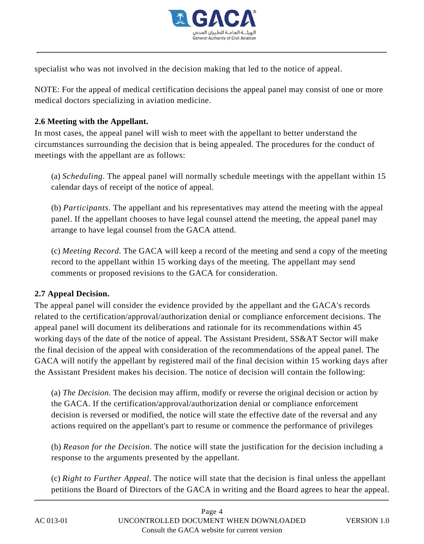

specialist who was not involved in the decision making that led to the notice of appeal.

NOTE: For the appeal of medical certification decisions the appeal panel may consist of one or more medical doctors specializing in aviation medicine.

# **2.6 Meeting with the Appellant.**

In most cases, the appeal panel will wish to meet with the appellant to better understand the circumstances surrounding the decision that is being appealed. The procedures for the conduct of meetings with the appellant are as follows:

(a) *Scheduling.* The appeal panel will normally schedule meetings with the appellant within 15 calendar days of receipt of the notice of appeal.

(b) *Participants.* The appellant and his representatives may attend the meeting with the appeal panel. If the appellant chooses to have legal counsel attend the meeting, the appeal panel may arrange to have legal counsel from the GACA attend.

(c) *Meeting Record.* The GACA will keep a record of the meeting and send a copy of the meeting record to the appellant within 15 working days of the meeting. The appellant may send comments or proposed revisions to the GACA for consideration.

# **2.7 Appeal Decision.**

The appeal panel will consider the evidence provided by the appellant and the GACA's records related to the certification/approval/authorization denial or compliance enforcement decisions. The appeal panel will document its deliberations and rationale for its recommendations within 45 working days of the date of the notice of appeal. The Assistant President, SS&AT Sector will make the final decision of the appeal with consideration of the recommendations of the appeal panel. The GACA will notify the appellant by registered mail of the final decision within 15 working days after the Assistant President makes his decision. The notice of decision will contain the following:

(a) *The Decision.* The decision may affirm, modify or reverse the original decision or action by the GACA. If the certification/approval/authorization denial or compliance enforcement decision is reversed or modified, the notice will state the effective date of the reversal and any actions required on the appellant's part to resume or commence the performance of privileges

(b) *Reason for the Decision.* The notice will state the justification for the decision including a response to the arguments presented by the appellant.

(c) *Right to Further Appeal.* The notice will state that the decision is final unless the appellant petitions the Board of Directors of the GACA in writing and the Board agrees to hear the appeal.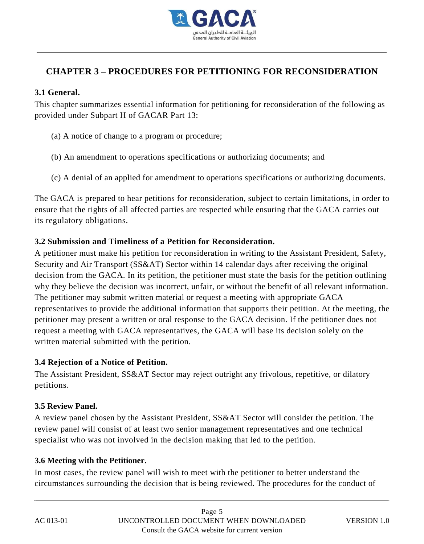

# **CHAPTER 3 – PROCEDURES FOR PETITIONING FOR RECONSIDERATION**

#### **3.1 General.**

This chapter summarizes essential information for petitioning for reconsideration of the following as provided under Subpart H of GACAR Part 13:

- (a) A notice of change to a program or procedure;
- (b) An amendment to operations specifications or authorizing documents; and
- (c) A denial of an applied for amendment to operations specifications or authorizing documents.

The GACA is prepared to hear petitions for reconsideration, subject to certain limitations, in order to ensure that the rights of all affected parties are respected while ensuring that the GACA carries out its regulatory obligations.

# **3.2 Submission and Timeliness of a Petition for Reconsideration.**

A petitioner must make his petition for reconsideration in writing to the Assistant President, Safety, Security and Air Transport (SS&AT) Sector within 14 calendar days after receiving the original decision from the GACA. In its petition, the petitioner must state the basis for the petition outlining why they believe the decision was incorrect, unfair, or without the benefit of all relevant information. The petitioner may submit written material or request a meeting with appropriate GACA representatives to provide the additional information that supports their petition. At the meeting, the petitioner may present a written or oral response to the GACA decision. If the petitioner does not request a meeting with GACA representatives, the GACA will base its decision solely on the written material submitted with the petition.

# **3.4 Rejection of a Notice of Petition.**

The Assistant President, SS&AT Sector may reject outright any frivolous, repetitive, or dilatory petitions.

# **3.5 Review Panel.**

A review panel chosen by the Assistant President, SS&AT Sector will consider the petition. The review panel will consist of at least two senior management representatives and one technical specialist who was not involved in the decision making that led to the petition.

# **3.6 Meeting with the Petitioner.**

In most cases, the review panel will wish to meet with the petitioner to better understand the circumstances surrounding the decision that is being reviewed. The procedures for the conduct of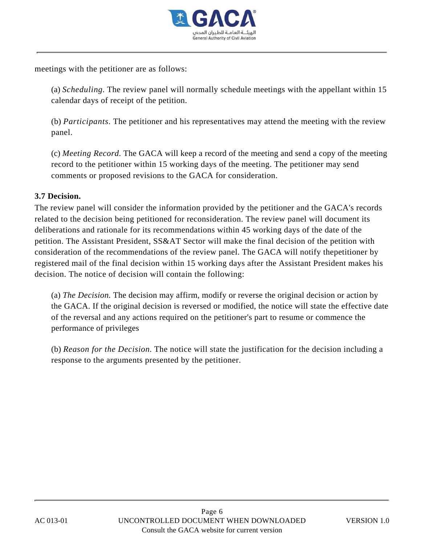

meetings with the petitioner are as follows:

(a) *Scheduling.* The review panel will normally schedule meetings with the appellant within 15 calendar days of receipt of the petition.

(b) *Participants.* The petitioner and his representatives may attend the meeting with the review panel.

(c) *Meeting Record.* The GACA will keep a record of the meeting and send a copy of the meeting record to the petitioner within 15 working days of the meeting. The petitioner may send comments or proposed revisions to the GACA for consideration.

# **3.7 Decision.**

The review panel will consider the information provided by the petitioner and the GACA's records related to the decision being petitioned for reconsideration. The review panel will document its deliberations and rationale for its recommendations within 45 working days of the date of the petition. The Assistant President, SS&AT Sector will make the final decision of the petition with consideration of the recommendations of the review panel. The GACA will notify thepetitioner by registered mail of the final decision within 15 working days after the Assistant President makes his decision. The notice of decision will contain the following:

(a) *The Decision.* The decision may affirm, modify or reverse the original decision or action by the GACA. If the original decision is reversed or modified, the notice will state the effective date of the reversal and any actions required on the petitioner's part to resume or commence the performance of privileges

(b) *Reason for the Decision.* The notice will state the justification for the decision including a response to the arguments presented by the petitioner.